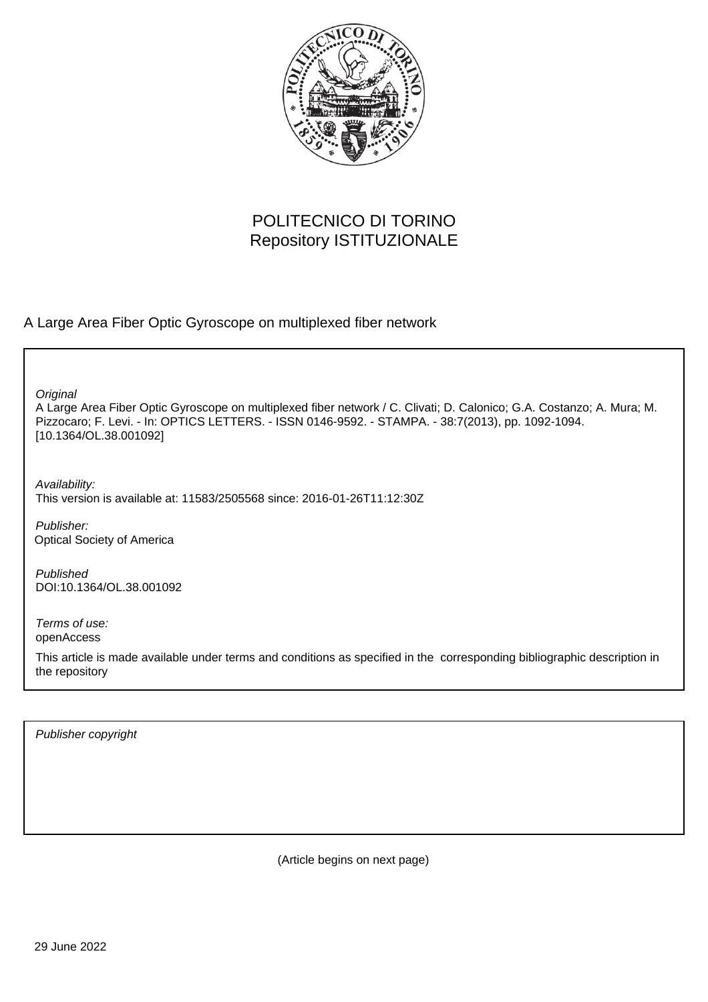

## POLITECNICO DI TORINO Repository ISTITUZIONALE

A Large Area Fiber Optic Gyroscope on multiplexed fiber network

**Original** 

A Large Area Fiber Optic Gyroscope on multiplexed fiber network / C. Clivati; D. Calonico; G.A. Costanzo; A. Mura; M. Pizzocaro; F. Levi. - In: OPTICS LETTERS. - ISSN 0146-9592. - STAMPA. - 38:7(2013), pp. 1092-1094. [10.1364/OL.38.001092]

Availability: This version is available at: 11583/2505568 since: 2016-01-26T11:12:30Z

Publisher: Optical Society of America

Published DOI:10.1364/OL.38.001092

Terms of use: openAccess

This article is made available under terms and conditions as specified in the corresponding bibliographic description in the repository

Publisher copyright

(Article begins on next page)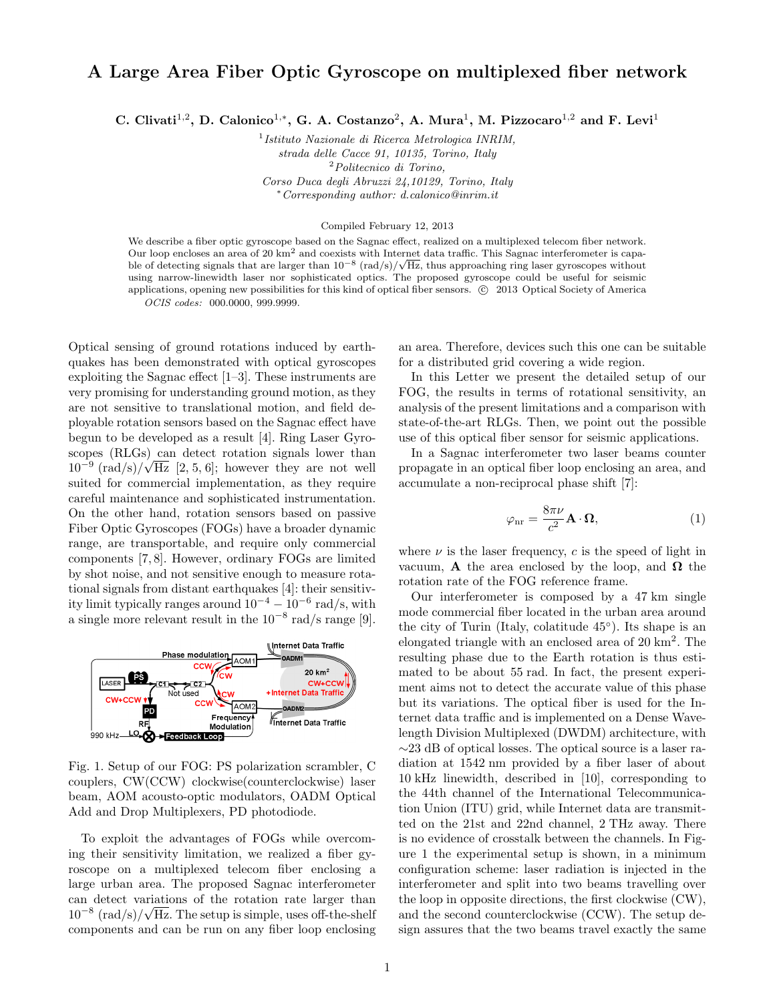## **A Large Area Fiber Optic Gyroscope on multiplexed fiber network**

**C. Clivati**<sup>1</sup>*,*<sup>2</sup> **, D. Calonico**<sup>1</sup>*,<sup>∗</sup>* **, G. A. Costanzo**<sup>2</sup> **, A. Mura**<sup>1</sup> **, M. Pizzocaro**<sup>1</sup>*,*<sup>2</sup> **and F. Levi**<sup>1</sup>

1 *Istituto Nazionale di Ricerca Metrologica INRIM, strada delle Cacce 91, 10135, Torino, Italy* <sup>2</sup>*Politecnico di Torino, Corso Duca degli Abruzzi 24,10129, Torino, Italy <sup>∗</sup>Corresponding author: d.calonico@inrim.it*

Compiled February 12, 2013

We describe a fiber optic gyroscope based on the Sagnac effect, realized on a multiplexed telecom fiber network. Our loop encloses an area of 20  $km^2$  and coexists with Internet data traffic. This Sagnac interferometer is capable of detecting signals that are larger than 10*−*<sup>8</sup> (rad*/*s)*/ √* Hz, thus approaching ring laser gyroscopes without using narrow-linewidth laser nor sophisticated optics. The proposed gyroscope could be useful for seismic applications, opening new possibilities for this kind of optical fiber sensors.  $\odot$  2013 Optical Society of America *OCIS codes:* 000.0000, 999.9999.

Optical sensing of ground rotations induced by earthquakes has been demonstrated with optical gyroscopes exploiting the Sagnac effect [1–3]. These instruments are very promising for understanding ground motion, as they are not sensitive to translational motion, and field deployable rotation sensors based on the Sagnac effect have begun to be developed as a result [4]. Ring Laser Gyroscopes (RLGs) can detect rotation signals lower than  $10^{-9}$   $(\text{rad/s})/\sqrt{\text{Hz}}$  [2, 5, 6]; however they are not well suited for commercial implementation, as they require careful maintenance and sophisticated instrumentation. On the other hand, rotation sensors based on passive Fiber Optic Gyroscopes (FOGs) have a broader dynamic range, are transportable, and require only commercial components [7, 8]. However, ordinary FOGs are limited by shot noise, and not sensitive enough to measure rotational signals from distant earthquakes [4]: their sensitivity limit typically ranges around 10*−*<sup>4</sup> *<sup>−</sup>* <sup>10</sup>*−*<sup>6</sup> rad*/*s, with a single more relevant result in the 10*−*<sup>8</sup> rad*/*s range [9].



Fig. 1. Setup of our FOG: PS polarization scrambler, C couplers, CW(CCW) clockwise(counterclockwise) laser beam, AOM acousto-optic modulators, OADM Optical Add and Drop Multiplexers, PD photodiode.

To exploit the advantages of FOGs while overcoming their sensitivity limitation, we realized a fiber gyroscope on a multiplexed telecom fiber enclosing a large urban area. The proposed Sagnac interferometer can detect variations of the rotation rate larger than 10*−*<sup>8</sup> (rad*/*s)*/ √* Hz. The setup is simple, uses off-the-shelf components and can be run on any fiber loop enclosing an area. Therefore, devices such this one can be suitable for a distributed grid covering a wide region.

In this Letter we present the detailed setup of our FOG, the results in terms of rotational sensitivity, an analysis of the present limitations and a comparison with state-of-the-art RLGs. Then, we point out the possible use of this optical fiber sensor for seismic applications.

In a Sagnac interferometer two laser beams counter propagate in an optical fiber loop enclosing an area, and accumulate a non-reciprocal phase shift [7]:

$$
\varphi_{\rm nr} = \frac{8\pi\nu}{c^2} \mathbf{A} \cdot \mathbf{\Omega},\tag{1}
$$

where  $\nu$  is the laser frequency,  $c$  is the speed of light in vacuum, **A** the area enclosed by the loop, and  $\Omega$  the rotation rate of the FOG reference frame.

Our interferometer is composed by a 47 km single mode commercial fiber located in the urban area around the city of Turin (Italy, colatitude 45*◦* ). Its shape is an elongated triangle with an enclosed area of 20 km<sup>2</sup> . The resulting phase due to the Earth rotation is thus estimated to be about 55 rad. In fact, the present experiment aims not to detect the accurate value of this phase but its variations. The optical fiber is used for the Internet data traffic and is implemented on a Dense Wavelength Division Multiplexed (DWDM) architecture, with *∼*23 dB of optical losses. The optical source is a laser radiation at 1542 nm provided by a fiber laser of about 10 kHz linewidth, described in [10], corresponding to the 44th channel of the International Telecommunication Union (ITU) grid, while Internet data are transmitted on the 21st and 22nd channel, 2 THz away. There is no evidence of crosstalk between the channels. In Figure 1 the experimental setup is shown, in a minimum configuration scheme: laser radiation is injected in the interferometer and split into two beams travelling over the loop in opposite directions, the first clockwise (CW), and the second counterclockwise (CCW). The setup design assures that the two beams travel exactly the same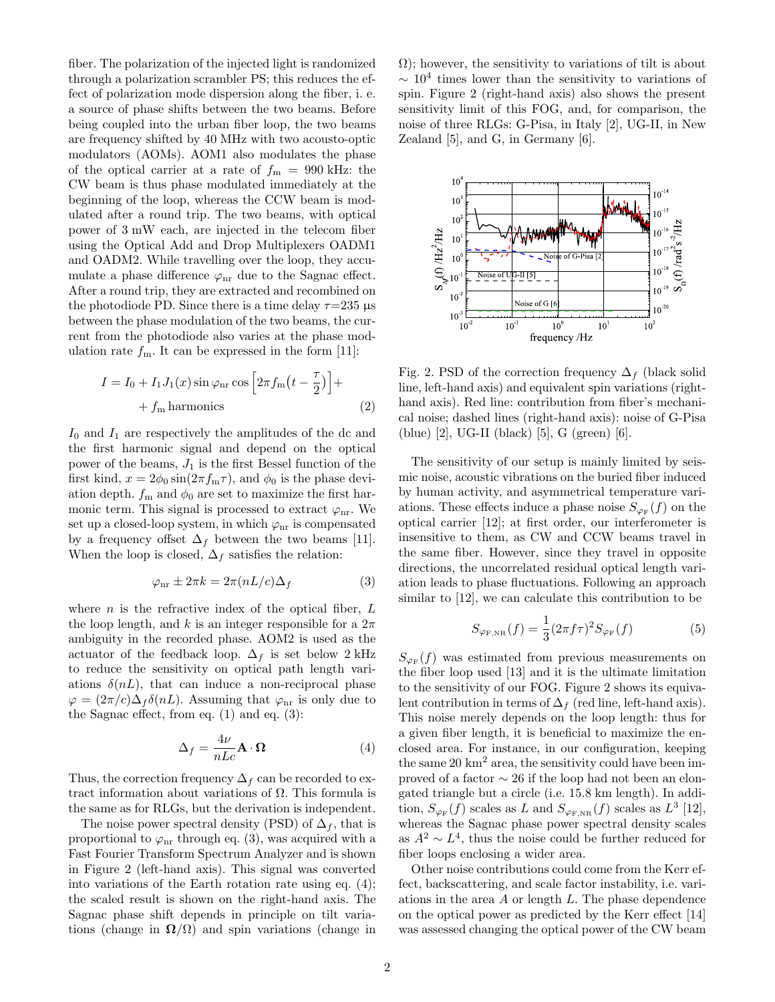fiber. The polarization of the injected light is randomized through a polarization scrambler PS; this reduces the effect of polarization mode dispersion along the fiber, i. e. a source of phase shifts between the two beams. Before being coupled into the urban fiber loop, the two beams are frequency shifted by 40 MHz with two acousto-optic modulators (AOMs). AOM1 also modulates the phase of the optical carrier at a rate of  $f_m = 990$  kHz: the CW beam is thus phase modulated immediately at the beginning of the loop, whereas the CCW beam is modulated after a round trip. The two beams, with optical power of 3 mW each, are injected in the telecom fiber using the Optical Add and Drop Multiplexers OADM1 and OADM2. While travelling over the loop, they accumulate a phase difference  $\varphi_{\text{nr}}$  due to the Sagnac effect. After a round trip, they are extracted and recombined on the photodiode PD. Since there is a time delay  $\tau$ =235  $\mu$ s between the phase modulation of the two beams, the current from the photodiode also varies at the phase modulation rate  $f_m$ . It can be expressed in the form [11]:

$$
I = I_0 + I_1 J_1(x) \sin \varphi_{\rm nr} \cos \left[2\pi f_{\rm m} \left(t - \frac{\tau}{2}\right)\right] +
$$
  
+  $f_{\rm m}$  harmonics (2)

*I*<sup>0</sup> and *I*<sup>1</sup> are respectively the amplitudes of the dc and the first harmonic signal and depend on the optical power of the beams,  $J_1$  is the first Bessel function of the first kind,  $x = 2\phi_0 \sin(2\pi f_m \tau)$ , and  $\phi_0$  is the phase deviation depth.  $f_m$  and  $\phi_0$  are set to maximize the first harmonic term. This signal is processed to extract  $\varphi_{nr}$ . We set up a closed-loop system, in which  $\varphi_{\text{nr}}$  is compensated by a frequency offset  $\Delta_f$  between the two beams [11]. When the loop is closed,  $\Delta_f$  satisfies the relation:

$$
\varphi_{\rm nr} \pm 2\pi k = 2\pi (nL/c)\Delta_f \tag{3}
$$

where *n* is the refractive index of the optical fiber, *L* the loop length, and *k* is an integer responsible for a  $2\pi$ ambiguity in the recorded phase. AOM2 is used as the actuator of the feedback loop.  $\Delta_f$  is set below 2 kHz to reduce the sensitivity on optical path length variations  $\delta(nL)$ , that can induce a non-reciprocal phase  $\varphi = (2\pi/c)\Delta_f \delta(nL)$ . Assuming that  $\varphi$ <sub>nr</sub> is only due to the Sagnac effect, from eq. (1) and eq. (3):

$$
\Delta_f = \frac{4\nu}{nLc} \mathbf{A} \cdot \mathbf{\Omega}
$$
 (4)

Thus, the correction frequency  $\Delta_f$  can be recorded to extract information about variations of Ω. This formula is the same as for RLGs, but the derivation is independent.

The noise power spectral density (PSD) of  $\Delta_f$ , that is proportional to  $\varphi$ <sub>nr</sub> through eq. (3), was acquired with a Fast Fourier Transform Spectrum Analyzer and is shown in Figure 2 (left-hand axis). This signal was converted into variations of the Earth rotation rate using eq. (4); the scaled result is shown on the right-hand axis. The Sagnac phase shift depends in principle on tilt variations (change in  $\Omega/\Omega$ ) and spin variations (change in  $\Omega$ ); however, the sensitivity to variations of tilt is about *<sup>∼</sup>* <sup>10</sup><sup>4</sup> times lower than the sensitivity to variations of spin. Figure 2 (right-hand axis) also shows the present sensitivity limit of this FOG, and, for comparison, the noise of three RLGs: G-Pisa, in Italy [2], UG-II, in New Zealand [5], and G, in Germany [6].



Fig. 2. PSD of the correction frequency ∆*<sup>f</sup>* (black solid line, left-hand axis) and equivalent spin variations (righthand axis). Red line: contribution from fiber's mechanical noise; dashed lines (right-hand axis): noise of G-Pisa (blue) [2], UG-II (black) [5], G (green) [6].

The sensitivity of our setup is mainly limited by seismic noise, acoustic vibrations on the buried fiber induced by human activity, and asymmetrical temperature variations. These effects induce a phase noise  $S_{\varphi_F}(f)$  on the optical carrier [12]; at first order, our interferometer is insensitive to them, as CW and CCW beams travel in the same fiber. However, since they travel in opposite directions, the uncorrelated residual optical length variation leads to phase fluctuations. Following an approach similar to [12], we can calculate this contribution to be

$$
S_{\varphi_{\rm F, NR}}(f) = \frac{1}{3} (2\pi f \tau)^2 S_{\varphi_{\rm F}}(f) \tag{5}
$$

 $S_{\varphi_F}(f)$  was estimated from previous measurements on the fiber loop used [13] and it is the ultimate limitation to the sensitivity of our FOG. Figure 2 shows its equivalent contribution in terms of  $\Delta_f$  (red line, left-hand axis). This noise merely depends on the loop length: thus for a given fiber length, it is beneficial to maximize the enclosed area. For instance, in our configuration, keeping the same  $20 \text{ km}^2$  area, the sensitivity could have been improved of a factor *∼* 26 if the loop had not been an elongated triangle but a circle (i.e. 15*.*8 km length). In addition,  $S_{\varphi_{\mathbb{F}}}(f)$  scales as *L* and  $S_{\varphi_{\mathbb{F},\text{NR}}}(f)$  scales as  $L^3$  [12], whereas the Sagnac phase power spectral density scales as  $A^2 \sim L^4$ , thus the noise could be further reduced for fiber loops enclosing a wider area.

Other noise contributions could come from the Kerr effect, backscattering, and scale factor instability, i.e. variations in the area *A* or length *L*. The phase dependence on the optical power as predicted by the Kerr effect [14] was assessed changing the optical power of the CW beam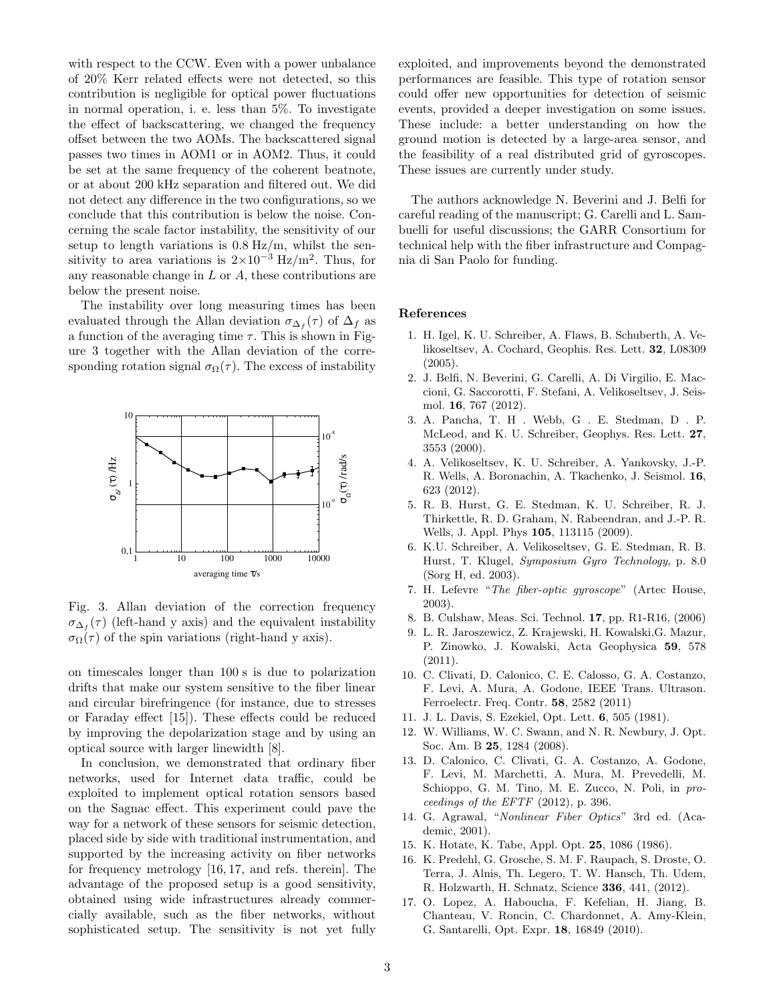with respect to the CCW. Even with a power unbalance of 20% Kerr related effects were not detected, so this contribution is negligible for optical power fluctuations in normal operation, i. e. less than 5%. To investigate the effect of backscattering, we changed the frequency offset between the two AOMs. The backscattered signal passes two times in AOM1 or in AOM2. Thus, it could be set at the same frequency of the coherent beatnote, or at about 200 kHz separation and filtered out. We did not detect any difference in the two configurations, so we conclude that this contribution is below the noise. Concerning the scale factor instability, the sensitivity of our setup to length variations is 0*.*8 Hz*/*m, whilst the sensitivity to area variations is  $2 \times 10^{-3}$  Hz/m<sup>2</sup>. Thus, for any reasonable change in *L* or *A*, these contributions are below the present noise.

The instability over long measuring times has been evaluated through the Allan deviation  $\sigma_{\Delta_f}(\tau)$  of  $\Delta_f$  as a function of the averaging time  $\tau$ . This is shown in Figure 3 together with the Allan deviation of the corresponding rotation signal  $\sigma_{\Omega}(\tau)$ . The excess of instability



Fig. 3. Allan deviation of the correction frequency  $\sigma_{\Delta_f}(\tau)$  (left-hand y axis) and the equivalent instability  $\sigma_{\Omega}(\tau)$  of the spin variations (right-hand y axis).

on timescales longer than 100 s is due to polarization drifts that make our system sensitive to the fiber linear and circular birefringence (for instance, due to stresses or Faraday effect [15]). These effects could be reduced by improving the depolarization stage and by using an optical source with larger linewidth [8].

In conclusion, we demonstrated that ordinary fiber networks, used for Internet data traffic, could be exploited to implement optical rotation sensors based on the Sagnac effect. This experiment could pave the way for a network of these sensors for seismic detection, placed side by side with traditional instrumentation, and supported by the increasing activity on fiber networks for frequency metrology [16, 17, and refs. therein]. The advantage of the proposed setup is a good sensitivity, obtained using wide infrastructures already commercially available, such as the fiber networks, without sophisticated setup. The sensitivity is not yet fully exploited, and improvements beyond the demonstrated performances are feasible. This type of rotation sensor could offer new opportunities for detection of seismic events, provided a deeper investigation on some issues. These include: a better understanding on how the ground motion is detected by a large-area sensor, and the feasibility of a real distributed grid of gyroscopes. These issues are currently under study.

The authors acknowledge N. Beverini and J. Belfi for careful reading of the manuscript; G. Carelli and L. Sambuelli for useful discussions; the GARR Consortium for technical help with the fiber infrastructure and Compagnia di San Paolo for funding.

## **References**

- 1. H. Igel, K. U. Schreiber, A. Flaws, B. Schuberth, A. Velikoseltsev, A. Cochard, Geophis. Res. Lett. **32**, L08309 (2005).
- 2. J. Belfi, N. Beverini, G. Carelli, A. Di Virgilio, E. Maccioni, G. Saccorotti, F. Stefani, A. Velikoseltsev, J. Seismol. **16**, 767 (2012).
- 3. A. Pancha, T. H . Webb, G . E. Stedman, D . P. McLeod, and K. U. Schreiber, Geophys. Res. Lett. **27**, 3553 (2000).
- 4. A. Velikoseltsev, K. U. Schreiber, A. Yankovsky, J.-P. R. Wells, A. Boronachin, A. Tkachenko, J. Seismol. **16**, 623 (2012).
- 5. R. B. Hurst, G. E. Stedman, K. U. Schreiber, R. J. Thirkettle, R. D. Graham, N. Rabeendran, and J.-P. R. Wells, J. Appl. Phys **105**, 113115 (2009).
- 6. K.U. Schreiber, A. Velikoseltsev, G. E. Stedman, R. B. Hurst, T. Klugel, *Symposium Gyro Technology*, p. 8.0 (Sorg H, ed. 2003).
- 7. H. Lefevre "*The fiber-optic gyroscope*" (Artec House, 2003).
- 8. B. Culshaw, Meas. Sci. Technol. **17**, pp. R1-R16, (2006)
- 9. L. R. Jaroszewicz, Z. Krajewski, H. Kowalski,G. Mazur, P. Zinowko, J. Kowalski, Acta Geophysica **59**, 578  $(2011).$
- 10. C. Clivati, D. Calonico, C. E. Calosso, G. A. Costanzo, F. Levi, A. Mura, A. Godone, IEEE Trans. Ultrason. Ferroelectr. Freq. Contr. **58**, 2582 (2011)
- 11. J. L. Davis, S. Ezekiel, Opt. Lett. **6**, 505 (1981).
- 12. W. Williams, W. C. Swann, and N. R. Newbury, J. Opt. Soc. Am. B **25**, 1284 (2008).
- 13. D. Calonico, C. Clivati, G. A. Costanzo, A. Godone, F. Levi, M. Marchetti, A. Mura, M. Prevedelli, M. Schioppo, G. M. Tino, M. E. Zucco, N. Poli, in *proceedings of the EFTF* (2012), p. 396.
- 14. G. Agrawal, "*Nonlinear Fiber Optics*" 3rd ed. (Academic, 2001).
- 15. K. Hotate, K. Tabe, Appl. Opt. **25**, 1086 (1986).
- 16. K. Predehl, G. Grosche, S. M. F. Raupach, S. Droste, O. Terra, J. Alnis, Th. Legero, T. W. Hansch, Th. Udem, R. Holzwarth, H. Schnatz, Science **336**, 441, (2012).
- 17. O. Lopez, A. Haboucha, F. Kefelian, H. Jiang, B. Chanteau, V. Roncin, C. Chardonnet, A. Amy-Klein, G. Santarelli, Opt. Expr. **18**, 16849 (2010).